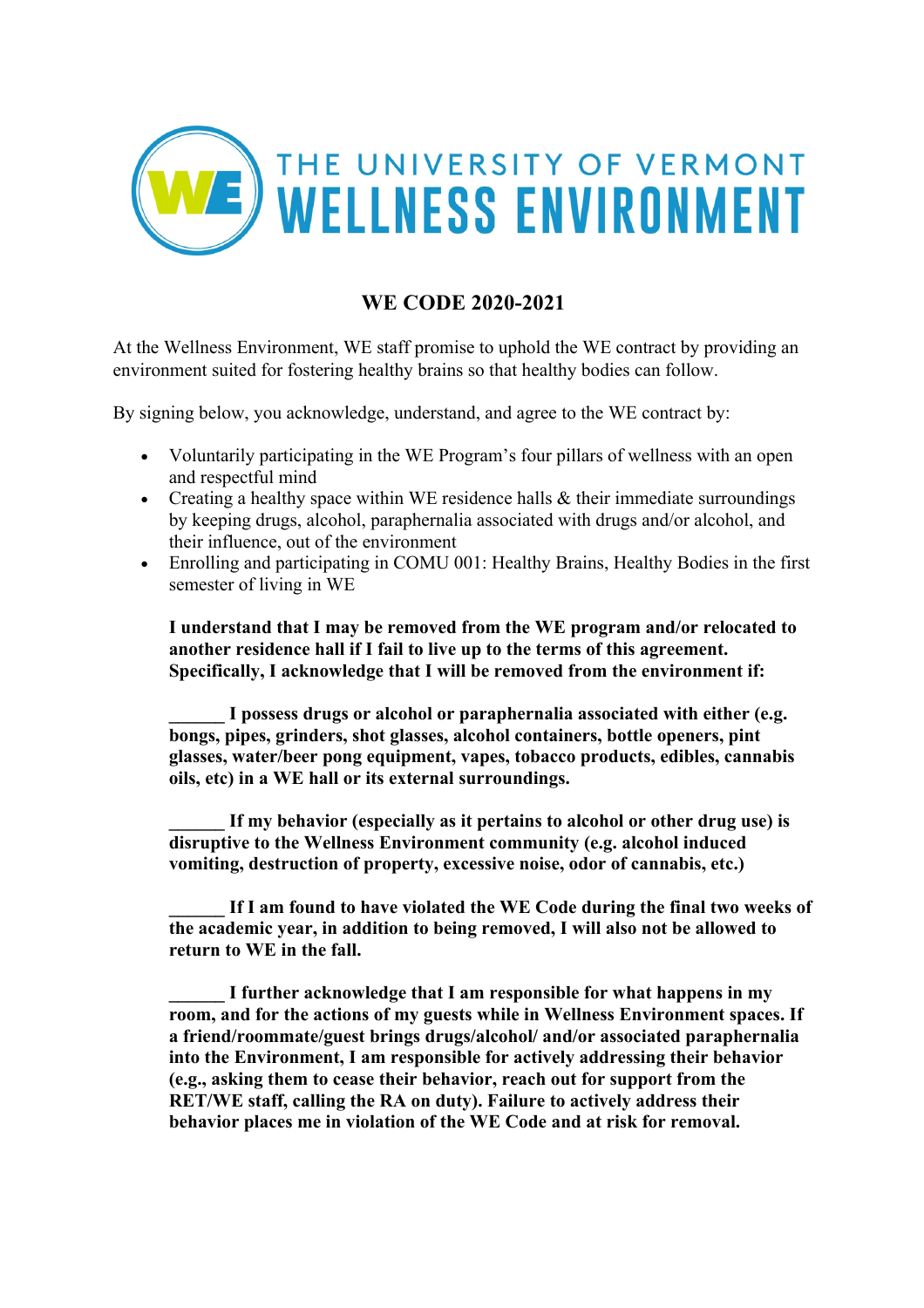

## **WE CODE 2020-2021**

At the Wellness Environment, WE staff promise to uphold the WE contract by providing an environment suited for fostering healthy brains so that healthy bodies can follow.

By signing below, you acknowledge, understand, and agree to the WE contract by:

- Voluntarily participating in the WE Program's four pillars of wellness with an open and respectful mind
- Creating a healthy space within WE residence halls & their immediate surroundings by keeping drugs, alcohol, paraphernalia associated with drugs and/or alcohol, and their influence, out of the environment
- Enrolling and participating in COMU 001: Healthy Brains, Healthy Bodies in the first semester of living in WE

**I understand that I may be removed from the WE program and/or relocated to another residence hall if I fail to live up to the terms of this agreement. Specifically, I acknowledge that I will be removed from the environment if:** 

**\_\_\_\_\_\_ I possess drugs or alcohol or paraphernalia associated with either (e.g. bongs, pipes, grinders, shot glasses, alcohol containers, bottle openers, pint glasses, water/beer pong equipment, vapes, tobacco products, edibles, cannabis oils, etc) in a WE hall or its external surroundings.** 

If my behavior (especially as it pertains to alcohol or other drug use) is **disruptive to the Wellness Environment community (e.g. alcohol induced vomiting, destruction of property, excessive noise, odor of cannabis, etc.)**

If I am found to have violated the WE Code during the final two weeks of **the academic year, in addition to being removed, I will also not be allowed to return to WE in the fall.**

**\_\_\_\_\_\_ I further acknowledge that I am responsible for what happens in my room, and for the actions of my guests while in Wellness Environment spaces. If a friend/roommate/guest brings drugs/alcohol/ and/or associated paraphernalia into the Environment, I am responsible for actively addressing their behavior (e.g., asking them to cease their behavior, reach out for support from the RET/WE staff, calling the RA on duty). Failure to actively address their behavior places me in violation of the WE Code and at risk for removal.**